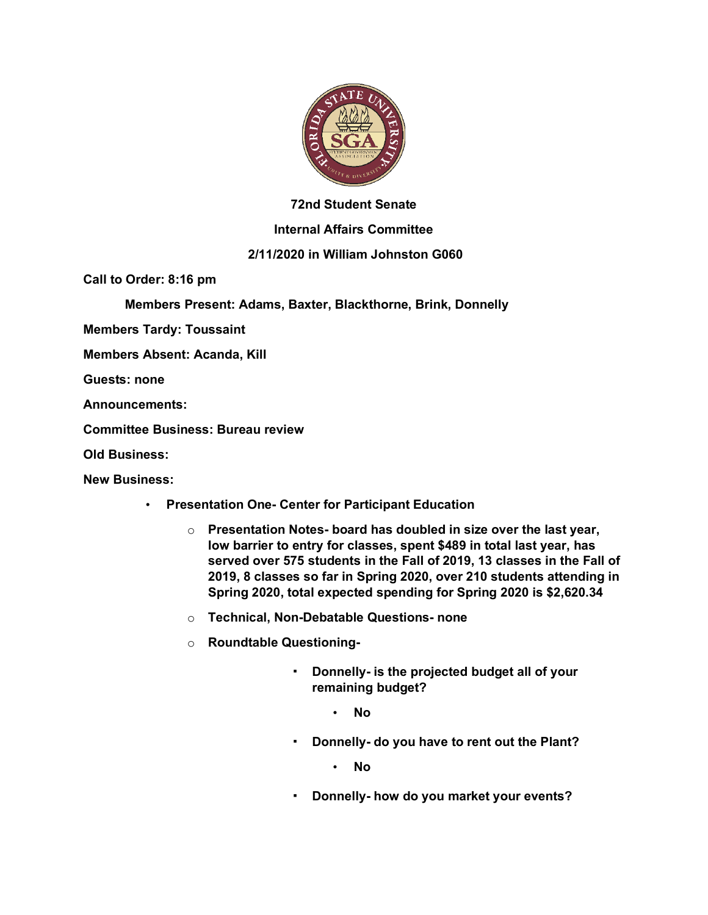

### **72nd Student Senate**

### **Internal Affairs Committee**

# **2/11/2020 in William Johnston G060**

**Call to Order: 8:16 pm**

**Members Present: Adams, Baxter, Blackthorne, Brink, Donnelly**

**Members Tardy: Toussaint**

**Members Absent: Acanda, Kill**

**Guests: none**

**Announcements:**

**Committee Business: Bureau review**

**Old Business:**

**New Business:**

- **Presentation One- Center for Participant Education**
	- o **Presentation Notes- board has doubled in size over the last year, low barrier to entry for classes, spent \$489 in total last year, has served over 575 students in the Fall of 2019, 13 classes in the Fall of 2019, 8 classes so far in Spring 2020, over 210 students attending in Spring 2020, total expected spending for Spring 2020 is \$2,620.34**
	- o **Technical, Non-Debatable Questions- none**
	- o **Roundtable Questioning-**
		- **Donnelly- is the projected budget all of your remaining budget?**
			- **No**
		- **Donnelly- do you have to rent out the Plant?**

• **No**

▪ **Donnelly- how do you market your events?**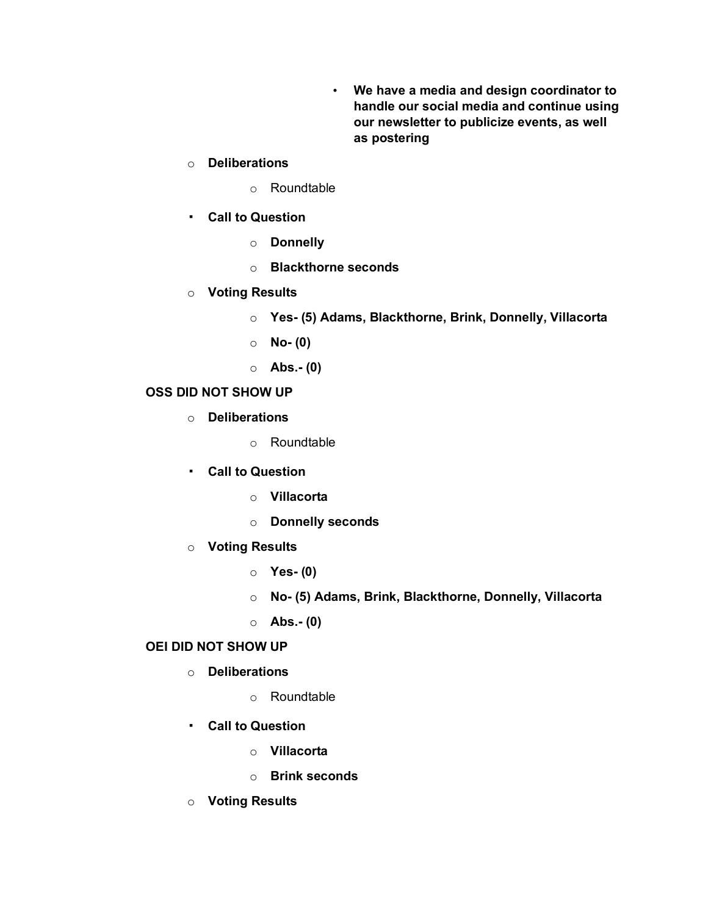• **We have a media and design coordinator to handle our social media and continue using our newsletter to publicize events, as well as postering**

### o **Deliberations**

- o Roundtable
- **Call to Question**
	- o **Donnelly**
	- o **Blackthorne seconds**
- o **Voting Results**
	- o **Yes- (5) Adams, Blackthorne, Brink, Donnelly, Villacorta**
	- o **No- (0)**
	- o **Abs.- (0)**

# **OSS DID NOT SHOW UP**

- o **Deliberations**
	- o Roundtable
- **Call to Question**
	- o **Villacorta**
	- o **Donnelly seconds**
- o **Voting Results**
	- o **Yes- (0)**
	- o **No- (5) Adams, Brink, Blackthorne, Donnelly, Villacorta**
	- o **Abs.- (0)**

#### **OEI DID NOT SHOW UP**

- o **Deliberations**
	- o Roundtable
- **Call to Question**
	- o **Villacorta**
	- o **Brink seconds**
- o **Voting Results**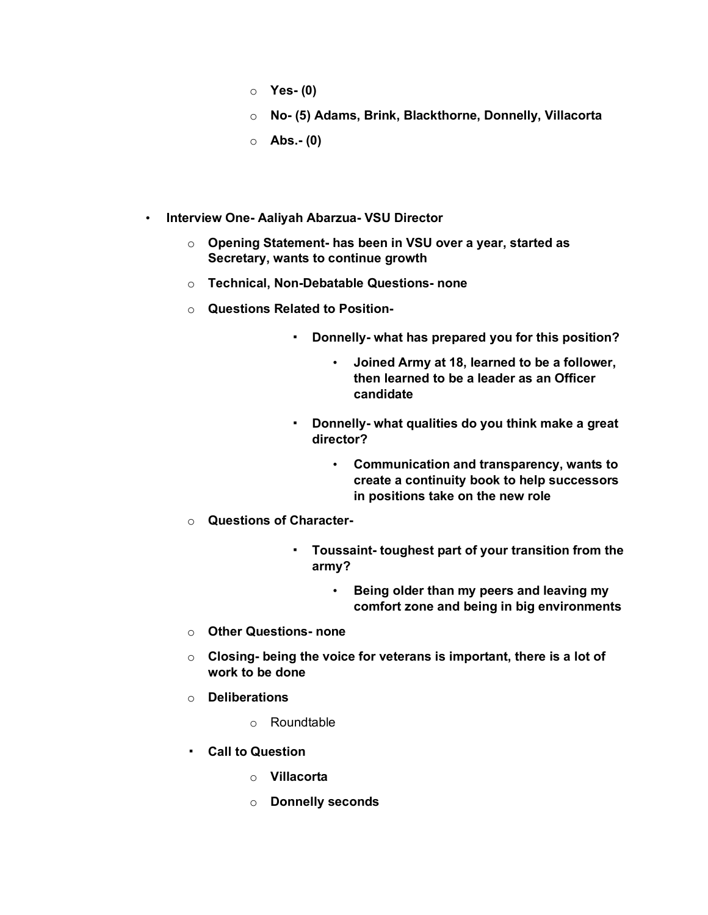- o **Yes- (0)**
- o **No- (5) Adams, Brink, Blackthorne, Donnelly, Villacorta**
- o **Abs.- (0)**
- **Interview One- Aaliyah Abarzua- VSU Director**
	- o **Opening Statement- has been in VSU over a year, started as Secretary, wants to continue growth**
	- o **Technical, Non-Debatable Questions- none**
	- o **Questions Related to Position-**
		- **Donnelly- what has prepared you for this position?**
			- **Joined Army at 18, learned to be a follower, then learned to be a leader as an Officer candidate**
		- **Donnelly- what qualities do you think make a great director?**
			- **Communication and transparency, wants to create a continuity book to help successors in positions take on the new role**
	- o **Questions of Character-**
		- **Toussaint- toughest part of your transition from the army?**
			- **Being older than my peers and leaving my comfort zone and being in big environments**
	- o **Other Questions- none**
	- o **Closing- being the voice for veterans is important, there is a lot of work to be done**
	- o **Deliberations**
		- o Roundtable
	- **Call to Question**
		- o **Villacorta**
		- o **Donnelly seconds**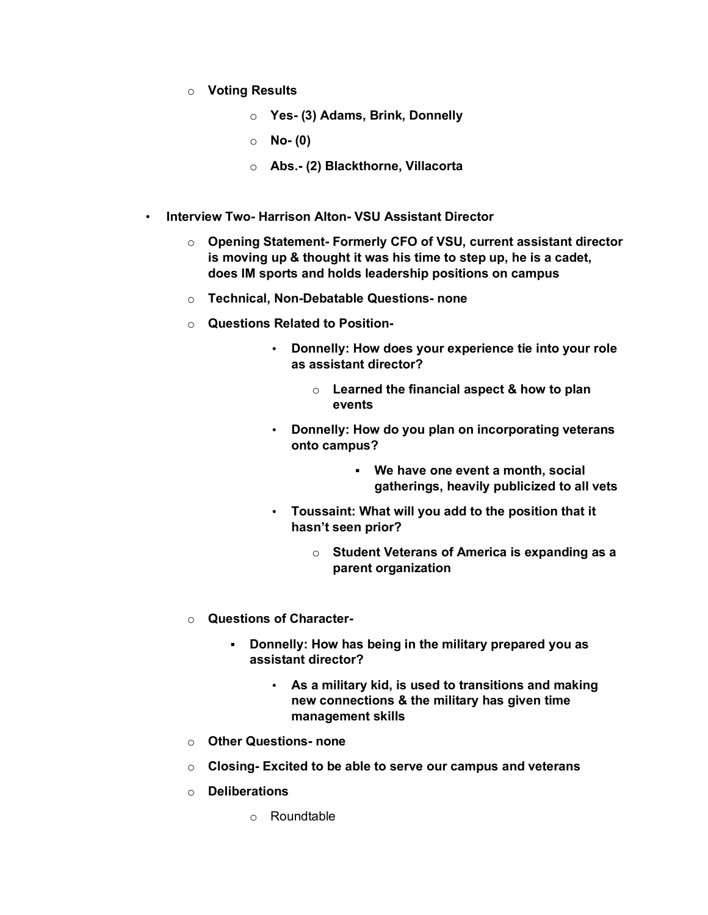- o **Voting Results**
	- o **Yes- (3) Adams, Brink, Donnelly**
	- o **No- (0)**
	- o **Abs.- (2) Blackthorne, Villacorta**
- **Interview Two- Harrison Alton- VSU Assistant Director**
	- o **Opening Statement- Formerly CFO of VSU, current assistant director is moving up & thought it was his time to step up, he is a cadet, does IM sports and holds leadership positions on campus**
	- o **Technical, Non-Debatable Questions- none**
	- o **Questions Related to Position-**
		- **Donnelly: How does your experience tie into your role as assistant director?**
			- o **Learned the financial aspect & how to plan events**
		- **Donnelly: How do you plan on incorporating veterans onto campus?**
			- **We have one event a month, social gatherings, heavily publicized to all vets**
		- **Toussaint: What will you add to the position that it hasn't seen prior?**
			- o **Student Veterans of America is expanding as a parent organization**
	- o **Questions of Character-**
		- **Donnelly: How has being in the military prepared you as assistant director?**
			- **As a military kid, is used to transitions and making new connections & the military has given time management skills**
	- o **Other Questions- none**
	- o **Closing- Excited to be able to serve our campus and veterans**
	- o **Deliberations**
		- o Roundtable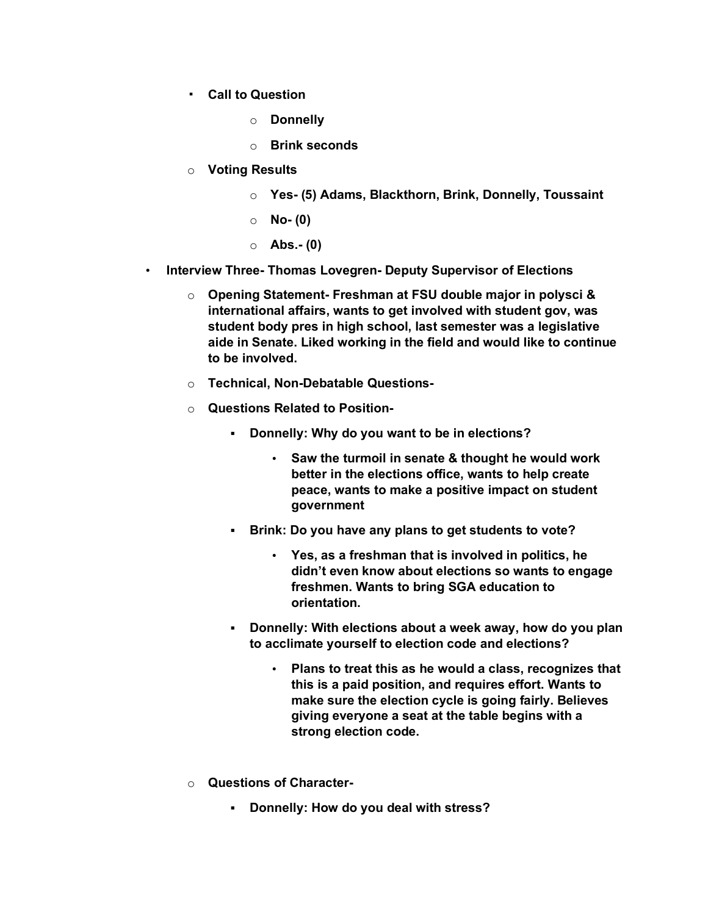- **Call to Question**
	- o **Donnelly**
	- o **Brink seconds**
- o **Voting Results**
	- o **Yes- (5) Adams, Blackthorn, Brink, Donnelly, Toussaint**
	- o **No- (0)**
	- o **Abs.- (0)**
- **Interview Three- Thomas Lovegren- Deputy Supervisor of Elections**
	- o **Opening Statement- Freshman at FSU double major in polysci & international affairs, wants to get involved with student gov, was student body pres in high school, last semester was a legislative aide in Senate. Liked working in the field and would like to continue to be involved.**
	- o **Technical, Non-Debatable Questions-**
	- o **Questions Related to Position-**
		- **Donnelly: Why do you want to be in elections?**
			- **Saw the turmoil in senate & thought he would work better in the elections office, wants to help create peace, wants to make a positive impact on student government**
		- **Brink: Do you have any plans to get students to vote?**
			- **Yes, as a freshman that is involved in politics, he didn't even know about elections so wants to engage freshmen. Wants to bring SGA education to orientation.**
		- **Donnelly: With elections about a week away, how do you plan to acclimate yourself to election code and elections?**
			- **Plans to treat this as he would a class, recognizes that this is a paid position, and requires effort. Wants to make sure the election cycle is going fairly. Believes giving everyone a seat at the table begins with a strong election code.**
	- o **Questions of Character-**
		- **Donnelly: How do you deal with stress?**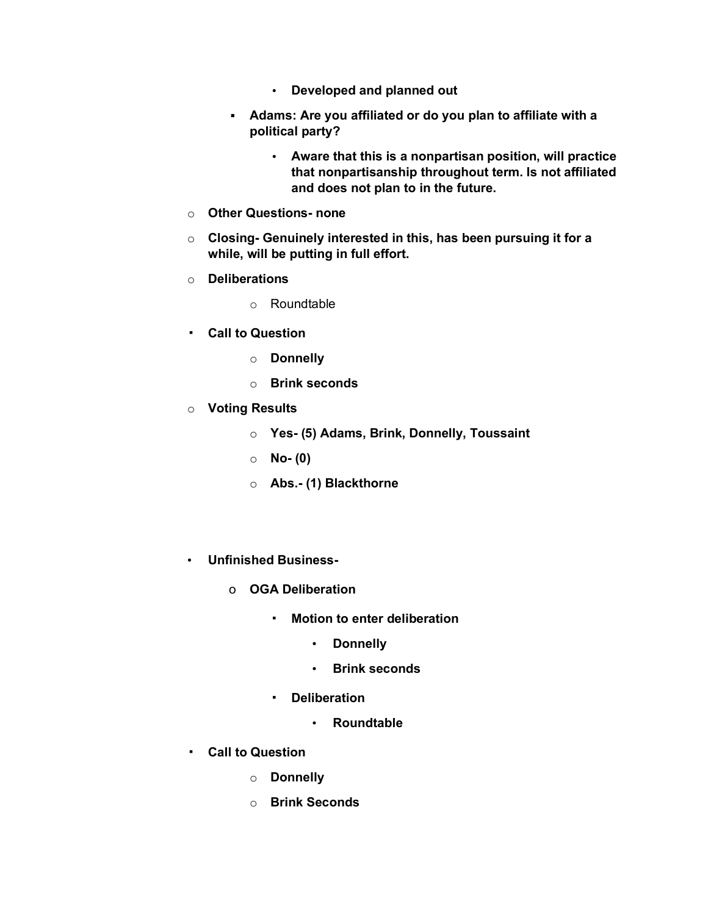- **Developed and planned out**
- **Adams: Are you affiliated or do you plan to affiliate with a political party?**
	- **Aware that this is a nonpartisan position, will practice that nonpartisanship throughout term. Is not affiliated and does not plan to in the future.**
- o **Other Questions- none**
- o **Closing- Genuinely interested in this, has been pursuing it for a while, will be putting in full effort.**
- o **Deliberations**
	- o Roundtable
- **Call to Question**
	- o **Donnelly**
	- o **Brink seconds**
- o **Voting Results**
	- o **Yes- (5) Adams, Brink, Donnelly, Toussaint**
	- o **No- (0)**
	- o **Abs.- (1) Blackthorne**
- **Unfinished Business**
	- o **OGA Deliberation**
		- **Motion to enter deliberation**
			- **Donnelly**
			- **Brink seconds**
		- **Deliberation**
			- **Roundtable**
- **Call to Question**
	- o **Donnelly**
	- o **Brink Seconds**